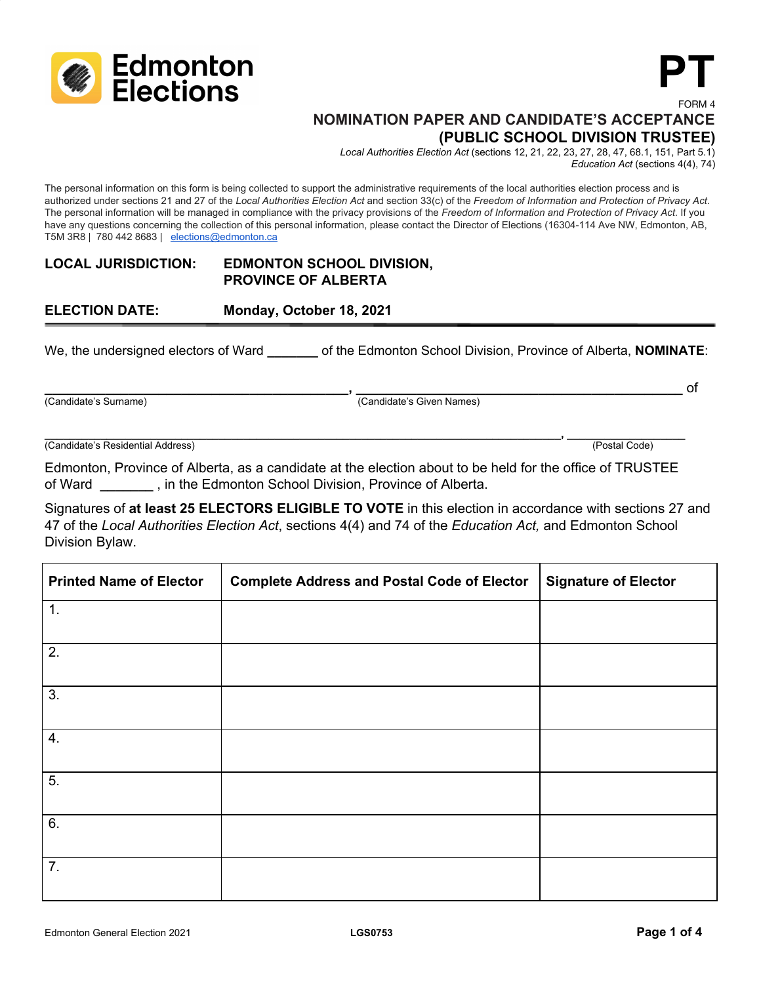

# **NOMINATION PAPER AND CANDIDATE'S ACCEPTANCE (PUBLIC SCHOOL DIVISION TRUSTEE)**

*Local Authorities Election Act* (sections 12, 21, 22, 23, 27, 28, 47, 68.1, 151, Part 5.1) *Education Act* (sections 4(4), 74)

**PT**

FORM 4

The personal information on this form is being collected to support the administrative requirements of the local authorities election process and is authorized under sections 21 and 27 of the Local Authorities Election Act and section 33(c) of the Freedom of Information and Protection of Privacy Act. The personal information will be managed in compliance with the privacy provisions of the *Freedom of Information and Protection of Privacy Act*. If you have any questions concerning the collection of this personal information, please contact the Director of Elections (16304-114 Ave NW, Edmonton, AB, T5M 3R8 | 780 442 8683 | [elections@edmonton.ca](mailto:elections@edmonton.ca)

### **LOCAL JURISDICTION: EDMONTON SCHOOL DIVISION, PROVINCE OF ALBERTA**

# **ELECTION DATE: Monday, October 18, 2021**

We, the undersigned electors of Ward **by the Edmonton School Division, Province of Alberta, NOMINATE:** 

**\_\_\_\_\_\_\_\_\_\_\_\_\_\_\_\_\_\_\_\_\_\_\_\_\_\_\_\_\_\_\_\_\_\_\_\_\_\_\_\_, \_\_\_\_\_\_\_\_\_\_\_\_\_\_\_\_\_\_\_\_\_\_\_\_\_\_\_\_\_\_\_\_\_\_\_\_\_\_\_\_\_\_\_** of

(Candidate's Surname) (Candidate's Given Names)

**\_\_\_\_\_\_\_\_\_\_\_\_\_\_\_\_\_\_\_\_\_\_\_\_\_\_\_\_\_\_\_\_\_\_\_\_\_\_\_\_\_\_\_\_\_\_\_\_\_\_\_\_\_\_\_\_\_\_\_\_\_\_\_\_\_\_\_\_\_\_\_\_\_\_\_\_\_\_\_\_\_\_\_, \_\_\_\_\_\_\_\_\_\_\_\_\_\_\_\_\_\_\_** (Candidate's Residential Address) (Postal Code)

Edmonton, Province of Alberta, as a candidate at the election about to be held for the office of TRUSTEE of Ward **\_\_\_\_\_\_\_** , in the Edmonton School Division, Province of Alberta.

Signatures of **at least 25 ELECTORS ELIGIBLE TO VOTE** in this election in accordance with sections 27 and 47 of the *Local Authorities Election Act*, sections 4(4) and 74 of the *Education Act,* and Edmonton School Division Bylaw.

| <b>Printed Name of Elector</b> | <b>Complete Address and Postal Code of Elector</b> | <b>Signature of Elector</b> |
|--------------------------------|----------------------------------------------------|-----------------------------|
| $\mathbf 1$ .                  |                                                    |                             |
| 2.                             |                                                    |                             |
| 3.                             |                                                    |                             |
| 4.                             |                                                    |                             |
| 5.                             |                                                    |                             |
| 6.                             |                                                    |                             |
| 7.                             |                                                    |                             |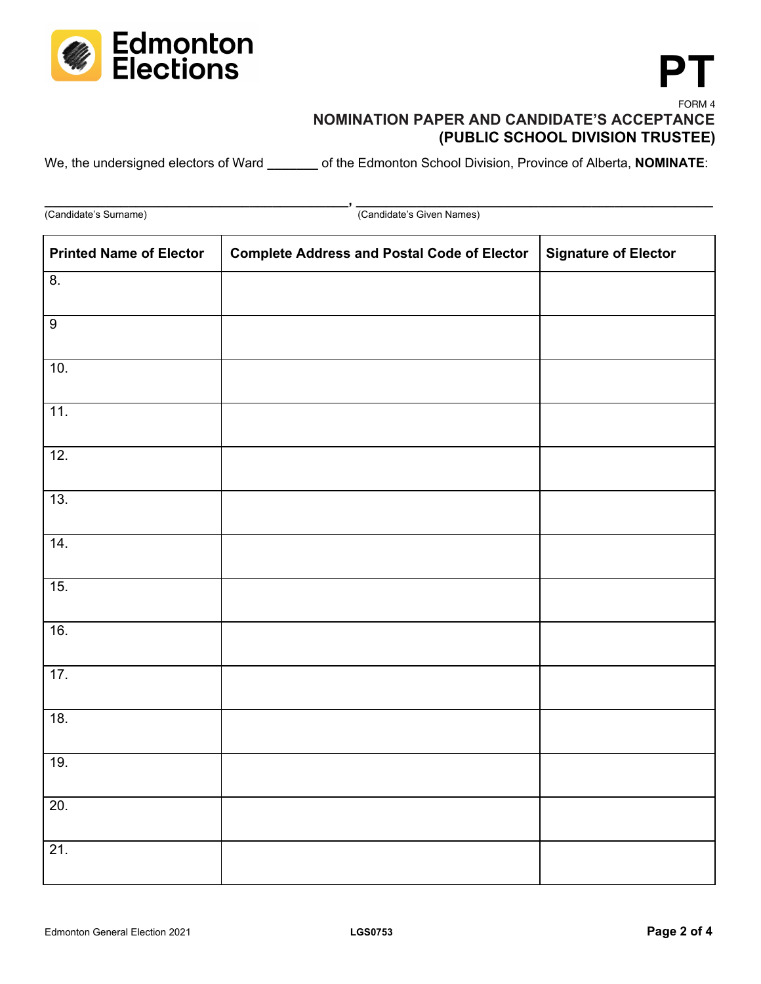

### FORM 4 **NOMINATION PAPER AND CANDIDATE'S ACCEPTANCE (PUBLIC SCHOOL DIVISION TRUSTEE)**

We, the undersigned electors of Ward \_\_\_\_\_\_\_ of the Edmonton School Division, Province of Alberta, **NOMINATE**:

**\_\_\_\_\_\_\_\_\_\_\_\_\_\_\_\_\_\_\_\_\_\_\_\_\_\_\_\_\_\_\_\_\_\_\_\_\_\_\_\_, \_\_\_\_\_\_\_\_\_\_\_\_\_\_\_\_\_\_\_\_\_\_\_\_\_\_\_\_\_\_\_\_\_\_\_\_\_\_\_\_\_\_\_\_\_\_\_** (Candidate's Surname) (Candidate's Given Names)

| <b>Printed Name of Elector</b> | <b>Complete Address and Postal Code of Elector</b> | <b>Signature of Elector</b> |
|--------------------------------|----------------------------------------------------|-----------------------------|
| 8.                             |                                                    |                             |
| $\boldsymbol{9}$               |                                                    |                             |
| 10.                            |                                                    |                             |
| 11.                            |                                                    |                             |
| 12.                            |                                                    |                             |
| 13.                            |                                                    |                             |
| 14.                            |                                                    |                             |
| 15.                            |                                                    |                             |
| 16.                            |                                                    |                             |
| 17.                            |                                                    |                             |
| 18.                            |                                                    |                             |
| 19.                            |                                                    |                             |
| 20.                            |                                                    |                             |
| 21.                            |                                                    |                             |
|                                |                                                    |                             |

**PT**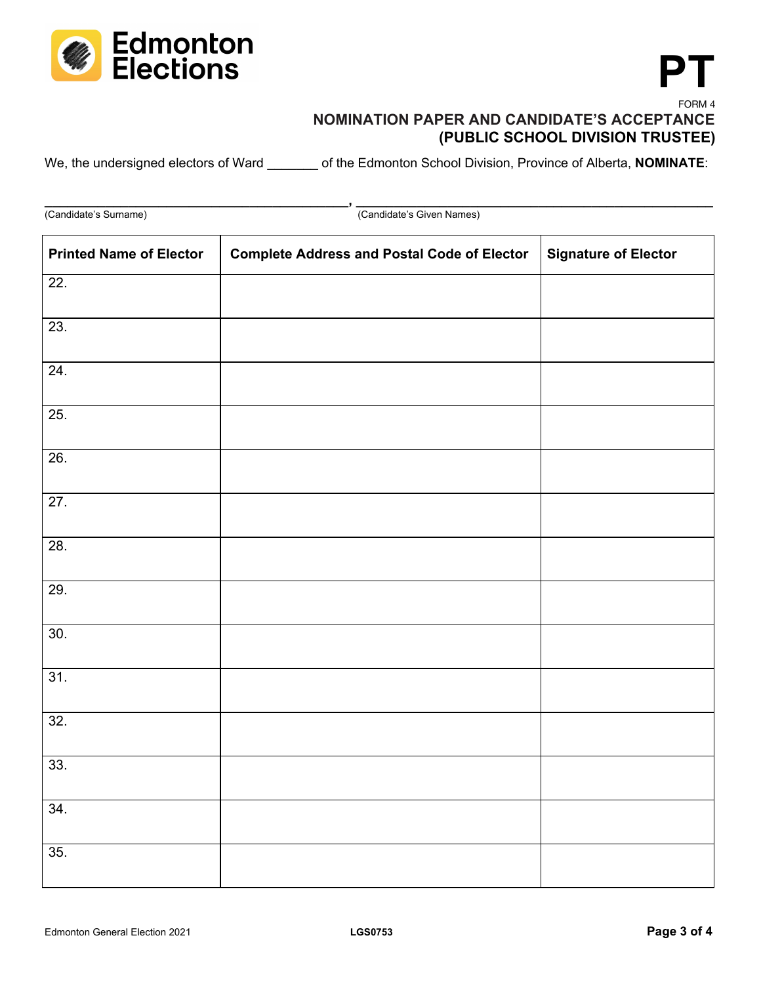

### FORM 4 **NOMINATION PAPER AND CANDIDATE'S ACCEPTANCE (PUBLIC SCHOOL DIVISION TRUSTEE)**

We, the undersigned electors of Ward \_\_\_\_\_\_\_ of the Edmonton School Division, Province of Alberta, **NOMINATE**:

**\_\_\_\_\_\_\_\_\_\_\_\_\_\_\_\_\_\_\_\_\_\_\_\_\_\_\_\_\_\_\_\_\_\_\_\_\_\_\_\_, \_\_\_\_\_\_\_\_\_\_\_\_\_\_\_\_\_\_\_\_\_\_\_\_\_\_\_\_\_\_\_\_\_\_\_\_\_\_\_\_\_\_\_\_\_\_\_** (Candidate's Surname) (Candidate's Given Names)

| <b>Printed Name of Elector</b> | <b>Complete Address and Postal Code of Elector</b> | <b>Signature of Elector</b> |
|--------------------------------|----------------------------------------------------|-----------------------------|
| 22.                            |                                                    |                             |
| 23.                            |                                                    |                             |
| 24.                            |                                                    |                             |
| 25.                            |                                                    |                             |
| 26.                            |                                                    |                             |
| 27.                            |                                                    |                             |
| 28.                            |                                                    |                             |
| 29.                            |                                                    |                             |
| 30.                            |                                                    |                             |
| 31.                            |                                                    |                             |
| 32.                            |                                                    |                             |
| 33.                            |                                                    |                             |
| 34.                            |                                                    |                             |
| 35.                            |                                                    |                             |

**PT**